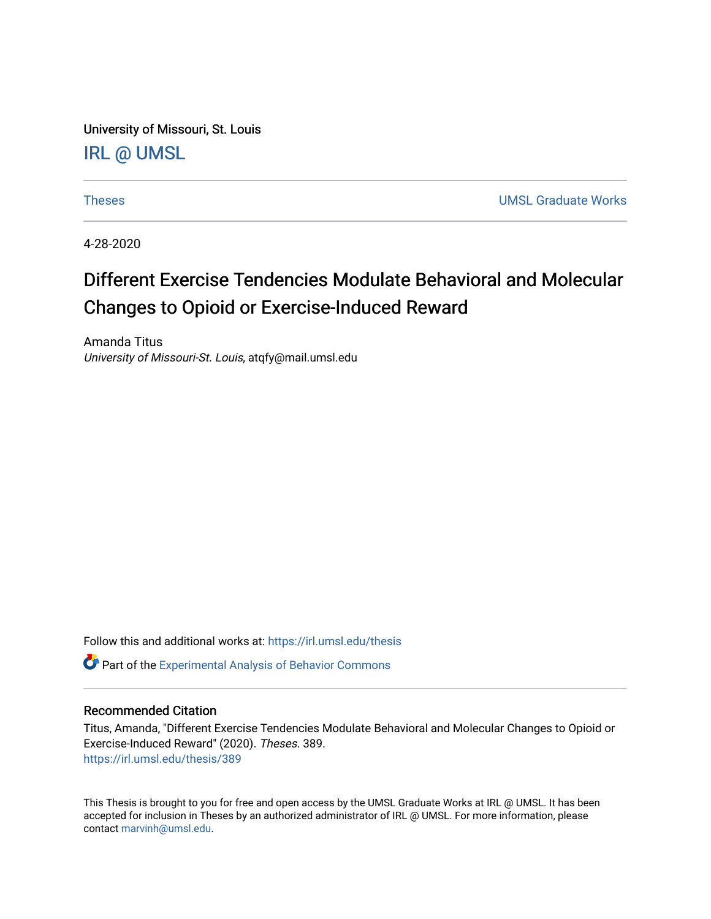University of Missouri, St. Louis [IRL @ UMSL](https://irl.umsl.edu/) 

[Theses](https://irl.umsl.edu/thesis) [UMSL Graduate Works](https://irl.umsl.edu/grad) 

4-28-2020

# Different Exercise Tendencies Modulate Behavioral and Molecular Changes to Opioid or Exercise-Induced Reward

Amanda Titus University of Missouri-St. Louis, atqfy@mail.umsl.edu

Follow this and additional works at: [https://irl.umsl.edu/thesis](https://irl.umsl.edu/thesis?utm_source=irl.umsl.edu%2Fthesis%2F389&utm_medium=PDF&utm_campaign=PDFCoverPages) 

**C** Part of the Experimental Analysis of Behavior Commons

## Recommended Citation

Titus, Amanda, "Different Exercise Tendencies Modulate Behavioral and Molecular Changes to Opioid or Exercise-Induced Reward" (2020). Theses. 389. [https://irl.umsl.edu/thesis/389](https://irl.umsl.edu/thesis/389?utm_source=irl.umsl.edu%2Fthesis%2F389&utm_medium=PDF&utm_campaign=PDFCoverPages) 

This Thesis is brought to you for free and open access by the UMSL Graduate Works at IRL @ UMSL. It has been accepted for inclusion in Theses by an authorized administrator of IRL @ UMSL. For more information, please contact [marvinh@umsl.edu.](mailto:marvinh@umsl.edu)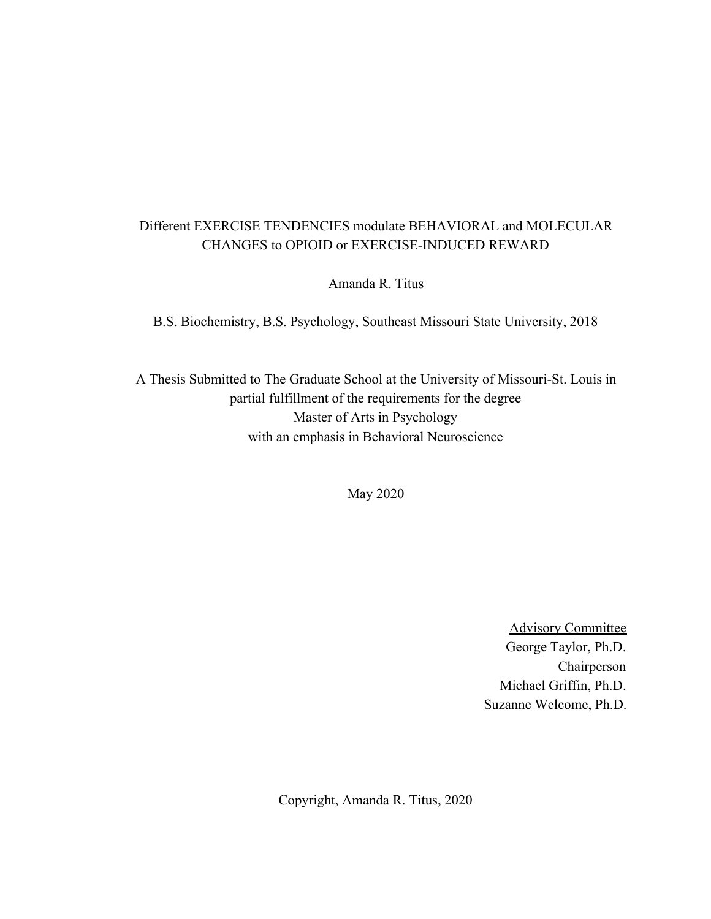# Different EXERCISE TENDENCIES modulate BEHAVIORAL and MOLECULAR CHANGES to OPIOID or EXERCISE-INDUCED REWARD

Amanda R. Titus

B.S. Biochemistry, B.S. Psychology, Southeast Missouri State University, 2018

A Thesis Submitted to The Graduate School at the University of Missouri-St. Louis in partial fulfillment of the requirements for the degree Master of Arts in Psychology with an emphasis in Behavioral Neuroscience

May 2020

Advisory Committee George Taylor, Ph.D. Chairperson Michael Griffin, Ph.D. Suzanne Welcome, Ph.D.

Copyright, Amanda R. Titus, 2020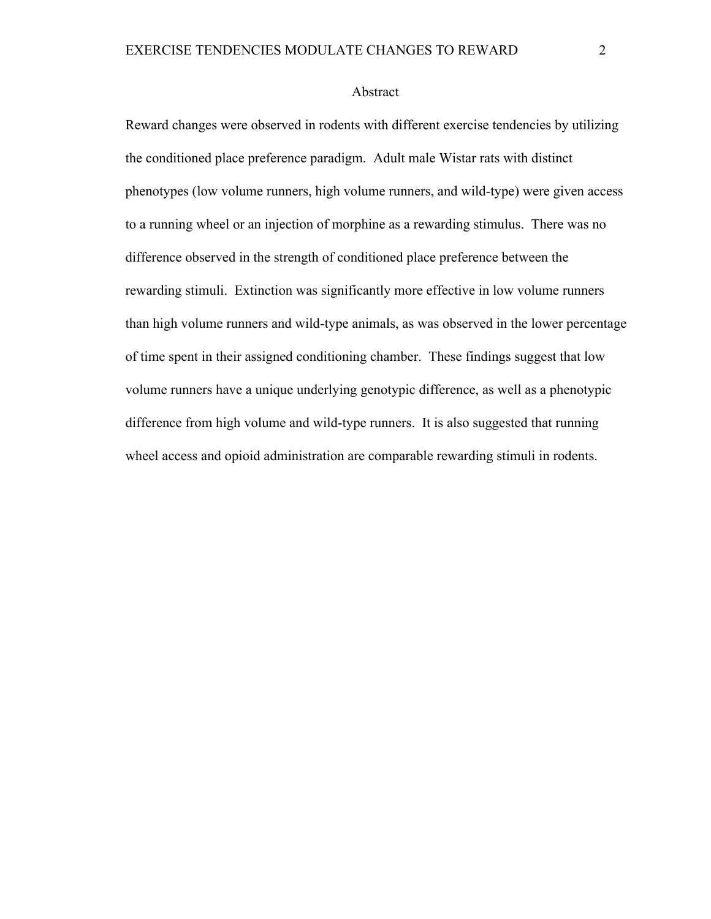#### Abstract

Reward changes were observed in rodents with different exercise tendencies by utilizing the conditioned place preference paradigm. Adult male Wistar rats with distinct phenotypes (low volume runners, high volume runners, and wild-type) were given access to a running wheel or an injection of morphine as a rewarding stimulus. There was no difference observed in the strength of conditioned place preference between the rewarding stimuli. Extinction was significantly more effective in low volume runners than high volume runners and wild-type animals, as was observed in the lower percentage of time spent in their assigned conditioning chamber. These findings suggest that low volume runners have a unique underlying genotypic difference, as well as a phenotypic difference from high volume and wild-type runners. It is also suggested that running wheel access and opioid administration are comparable rewarding stimuli in rodents.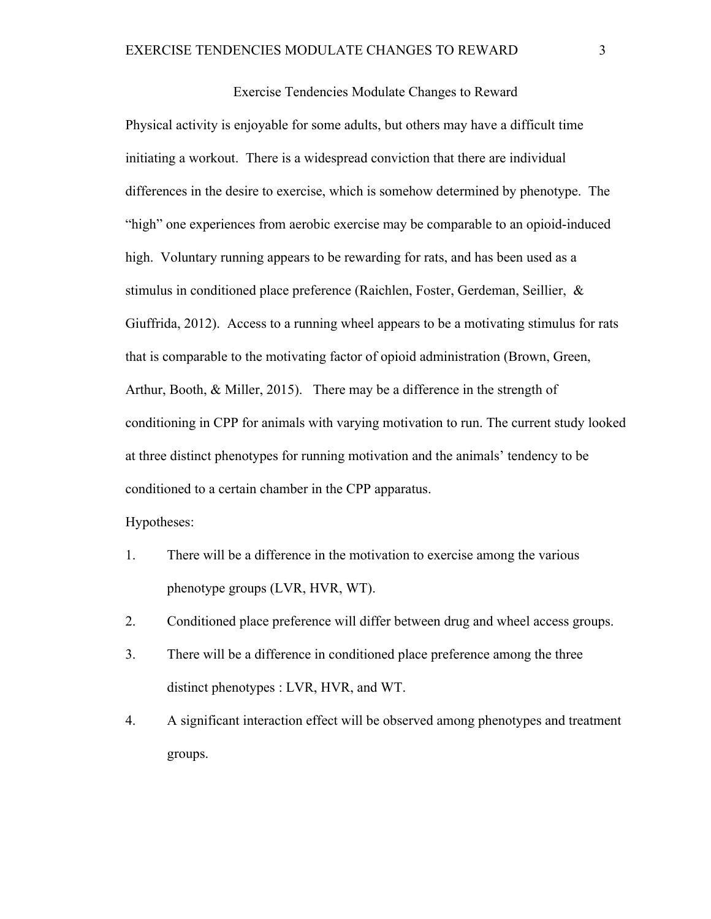Exercise Tendencies Modulate Changes to Reward Physical activity is enjoyable for some adults, but others may have a difficult time initiating a workout. There is a widespread conviction that there are individual differences in the desire to exercise, which is somehow determined by phenotype. The "high" one experiences from aerobic exercise may be comparable to an opioid-induced high. Voluntary running appears to be rewarding for rats, and has been used as a stimulus in conditioned place preference (Raichlen, Foster, Gerdeman, Seillier, & Giuffrida, 2012). Access to a running wheel appears to be a motivating stimulus for rats that is comparable to the motivating factor of opioid administration (Brown, Green, Arthur, Booth, & Miller, 2015). There may be a difference in the strength of conditioning in CPP for animals with varying motivation to run. The current study looked at three distinct phenotypes for running motivation and the animals' tendency to be conditioned to a certain chamber in the CPP apparatus.

Hypotheses:

- 1. There will be a difference in the motivation to exercise among the various phenotype groups (LVR, HVR, WT).
- 2. Conditioned place preference will differ between drug and wheel access groups.
- 3. There will be a difference in conditioned place preference among the three distinct phenotypes : LVR, HVR, and WT.
- 4. A significant interaction effect will be observed among phenotypes and treatment groups.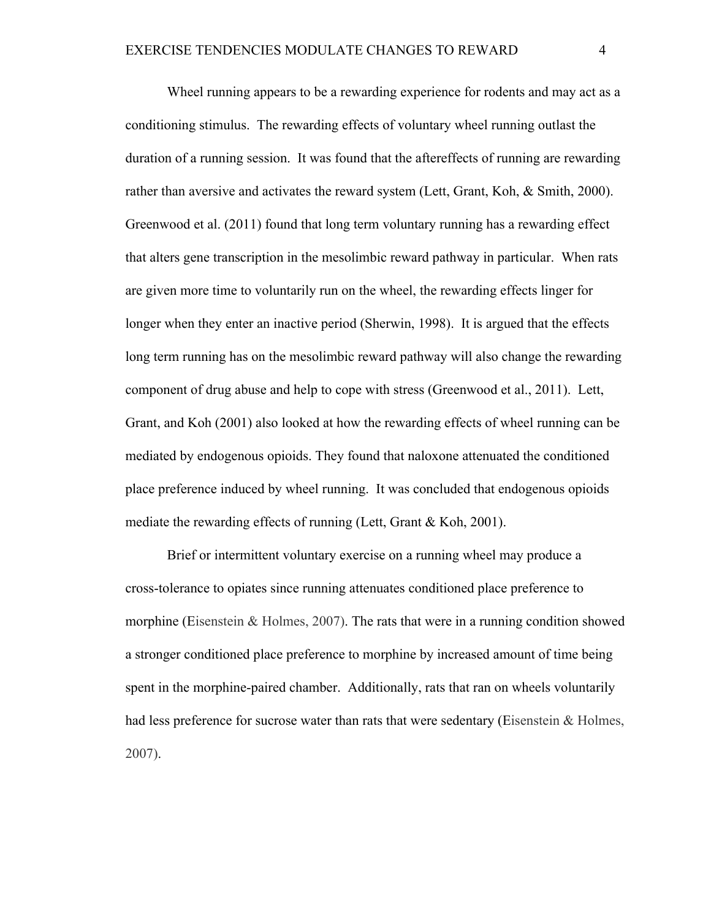Wheel running appears to be a rewarding experience for rodents and may act as a conditioning stimulus. The rewarding effects of voluntary wheel running outlast the duration of a running session. It was found that the aftereffects of running are rewarding rather than aversive and activates the reward system (Lett, Grant, Koh, & Smith, 2000). Greenwood et al. (2011) found that long term voluntary running has a rewarding effect that alters gene transcription in the mesolimbic reward pathway in particular. When rats are given more time to voluntarily run on the wheel, the rewarding effects linger for longer when they enter an inactive period (Sherwin, 1998). It is argued that the effects long term running has on the mesolimbic reward pathway will also change the rewarding component of drug abuse and help to cope with stress (Greenwood et al., 2011). Lett, Grant, and Koh (2001) also looked at how the rewarding effects of wheel running can be mediated by endogenous opioids. They found that naloxone attenuated the conditioned place preference induced by wheel running. It was concluded that endogenous opioids mediate the rewarding effects of running (Lett, Grant & Koh, 2001).

Brief or intermittent voluntary exercise on a running wheel may produce a cross-tolerance to opiates since running attenuates conditioned place preference to morphine (Eisenstein & Holmes, 2007). The rats that were in a running condition showed a stronger conditioned place preference to morphine by increased amount of time being spent in the morphine-paired chamber. Additionally, rats that ran on wheels voluntarily had less preference for sucrose water than rats that were sedentary (Eisenstein & Holmes, 2007).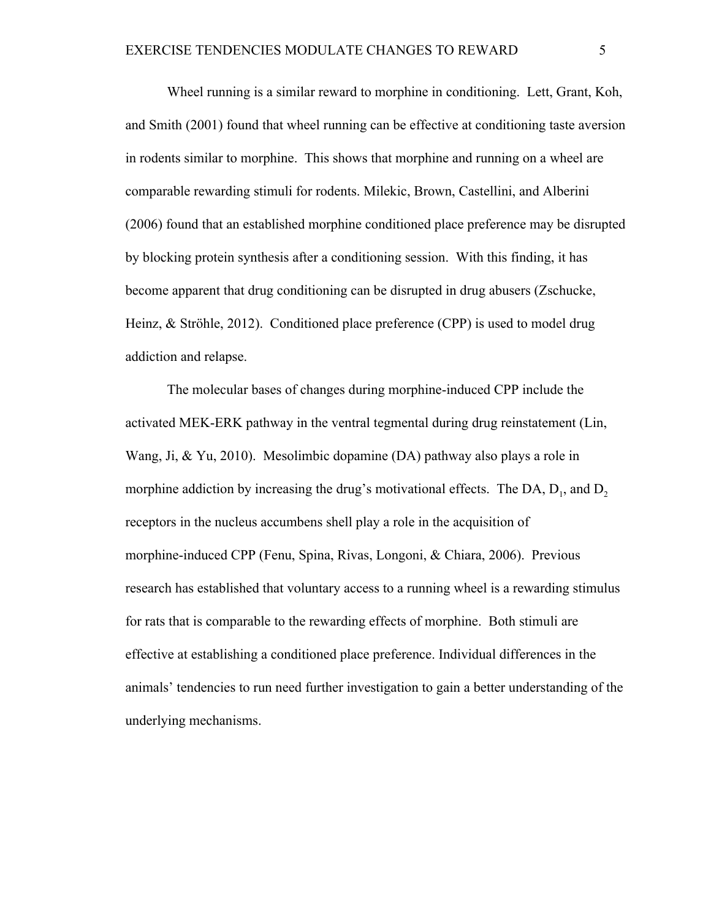Wheel running is a similar reward to morphine in conditioning. Lett, Grant, Koh, and Smith (2001) found that wheel running can be effective at conditioning taste aversion in rodents similar to morphine. This shows that morphine and running on a wheel are comparable rewarding stimuli for rodents. Milekic, Brown, Castellini, and Alberini (2006) found that an established morphine conditioned place preference may be disrupted by blocking protein synthesis after a conditioning session. With this finding, it has become apparent that drug conditioning can be disrupted in drug abusers (Zschucke, Heinz, & Ströhle, 2012). Conditioned place preference (CPP) is used to model drug addiction and relapse.

The molecular bases of changes during morphine-induced CPP include the activated MEK-ERK pathway in the ventral tegmental during drug reinstatement (Lin, Wang, Ji, & Yu, 2010). Mesolimbic dopamine (DA) pathway also plays a role in morphine addiction by increasing the drug's motivational effects. The DA,  $D_1$ , and  $D_2$ receptors in the nucleus accumbens shell play a role in the acquisition of morphine-induced CPP (Fenu, Spina, Rivas, Longoni, & Chiara, 2006). Previous research has established that voluntary access to a running wheel is a rewarding stimulus for rats that is comparable to the rewarding effects of morphine. Both stimuli are effective at establishing a conditioned place preference. Individual differences in the animals' tendencies to run need further investigation to gain a better understanding of the underlying mechanisms.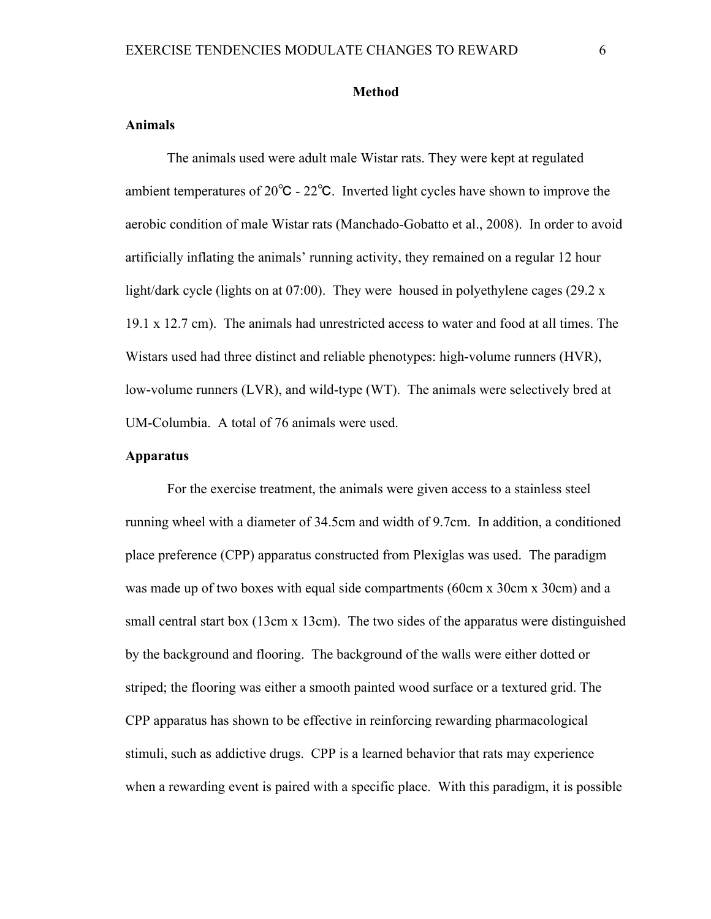#### **Method**

# **Animals**

The animals used were adult male Wistar rats. They were kept at regulated ambient temperatures of 20℃ - 22℃. Inverted light cycles have shown to improve the aerobic condition of male Wistar rats (Manchado-Gobatto et al., 2008). In order to avoid artificially inflating the animals' running activity, they remained on a regular 12 hour light/dark cycle (lights on at 07:00). They were housed in polyethylene cages  $(29.2 \text{ x})$ 19.1 x 12.7 cm). The animals had unrestricted access to water and food at all times. The Wistars used had three distinct and reliable phenotypes: high-volume runners (HVR), low-volume runners (LVR), and wild-type (WT). The animals were selectively bred at UM-Columbia. A total of 76 animals were used.

# **Apparatus**

For the exercise treatment, the animals were given access to a stainless steel running wheel with a diameter of 34.5cm and width of 9.7cm. In addition, a conditioned place preference (CPP) apparatus constructed from Plexiglas was used. The paradigm was made up of two boxes with equal side compartments (60cm x 30cm x 30cm) and a small central start box (13cm x 13cm). The two sides of the apparatus were distinguished by the background and flooring. The background of the walls were either dotted or striped; the flooring was either a smooth painted wood surface or a textured grid. The CPP apparatus has shown to be effective in reinforcing rewarding pharmacological stimuli, such as addictive drugs. CPP is a learned behavior that rats may experience when a rewarding event is paired with a specific place. With this paradigm, it is possible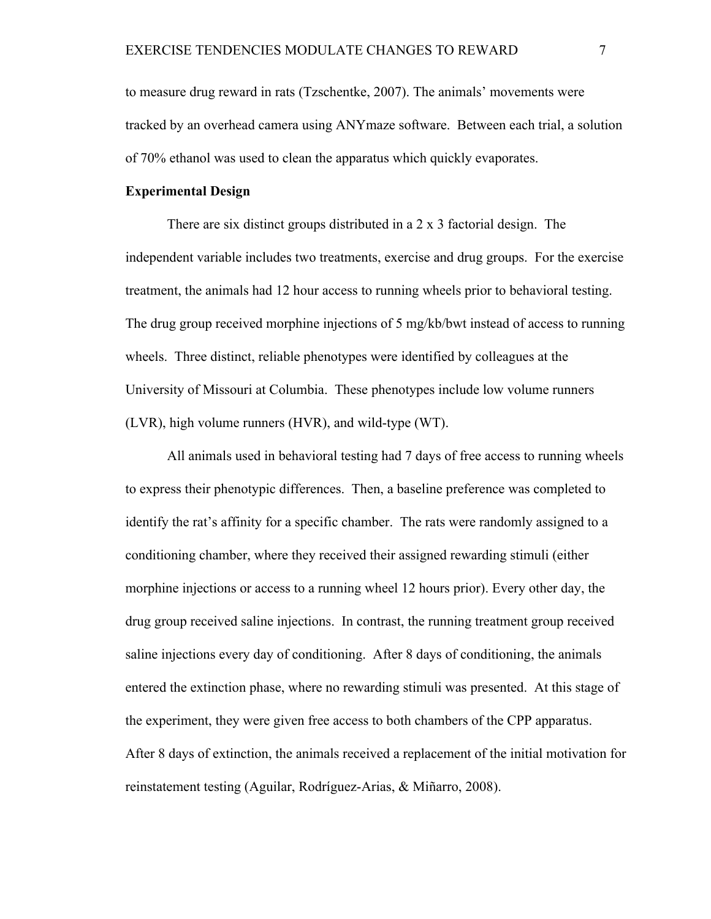to measure drug reward in rats (Tzschentke, 2007). The animals' movements were tracked by an overhead camera using ANYmaze software. Between each trial, a solution of 70% ethanol was used to clean the apparatus which quickly evaporates.

# **Experimental Design**

There are six distinct groups distributed in a 2 x 3 factorial design. The independent variable includes two treatments, exercise and drug groups. For the exercise treatment, the animals had 12 hour access to running wheels prior to behavioral testing. The drug group received morphine injections of 5 mg/kb/bwt instead of access to running wheels. Three distinct, reliable phenotypes were identified by colleagues at the University of Missouri at Columbia. These phenotypes include low volume runners (LVR), high volume runners (HVR), and wild-type (WT).

All animals used in behavioral testing had 7 days of free access to running wheels to express their phenotypic differences. Then, a baseline preference was completed to identify the rat's affinity for a specific chamber. The rats were randomly assigned to a conditioning chamber, where they received their assigned rewarding stimuli (either morphine injections or access to a running wheel 12 hours prior). Every other day, the drug group received saline injections. In contrast, the running treatment group received saline injections every day of conditioning. After 8 days of conditioning, the animals entered the extinction phase, where no rewarding stimuli was presented. At this stage of the experiment, they were given free access to both chambers of the CPP apparatus. After 8 days of extinction, the animals received a replacement of the initial motivation for reinstatement testing (Aguilar, Rodríguez-Arias, & Miñarro, 2008).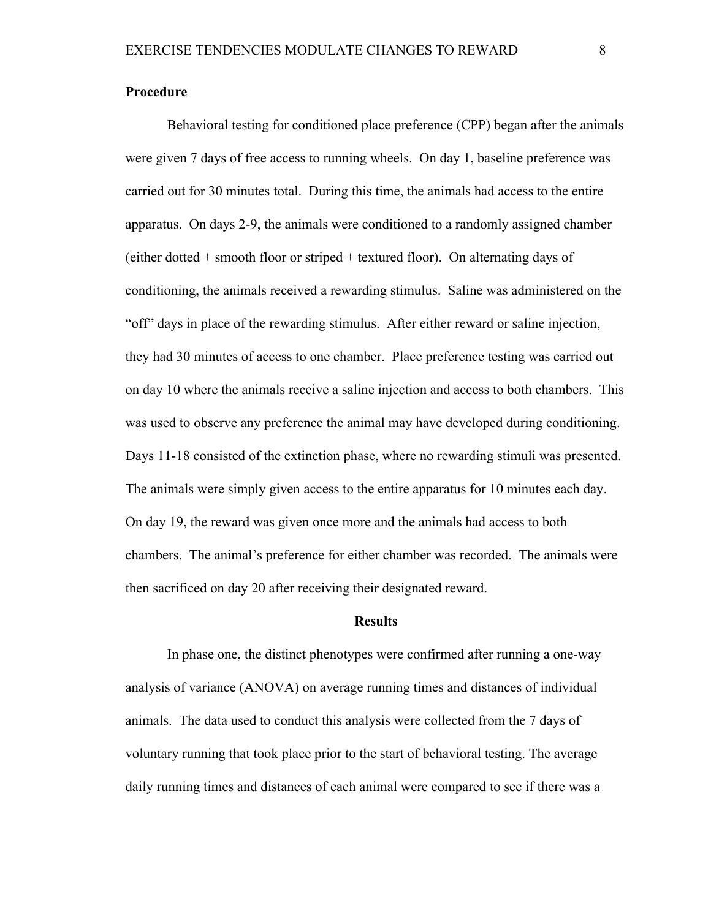#### **Procedure**

Behavioral testing for conditioned place preference (CPP) began after the animals were given 7 days of free access to running wheels. On day 1, baseline preference was carried out for 30 minutes total. During this time, the animals had access to the entire apparatus. On days 2-9, the animals were conditioned to a randomly assigned chamber (either dotted + smooth floor or striped + textured floor). On alternating days of conditioning, the animals received a rewarding stimulus. Saline was administered on the "off" days in place of the rewarding stimulus. After either reward or saline injection, they had 30 minutes of access to one chamber. Place preference testing was carried out on day 10 where the animals receive a saline injection and access to both chambers. This was used to observe any preference the animal may have developed during conditioning. Days 11-18 consisted of the extinction phase, where no rewarding stimuli was presented. The animals were simply given access to the entire apparatus for 10 minutes each day. On day 19, the reward was given once more and the animals had access to both chambers. The animal's preference for either chamber was recorded. The animals were then sacrificed on day 20 after receiving their designated reward.

### **Results**

In phase one, the distinct phenotypes were confirmed after running a one-way analysis of variance (ANOVA) on average running times and distances of individual animals. The data used to conduct this analysis were collected from the 7 days of voluntary running that took place prior to the start of behavioral testing. The average daily running times and distances of each animal were compared to see if there was a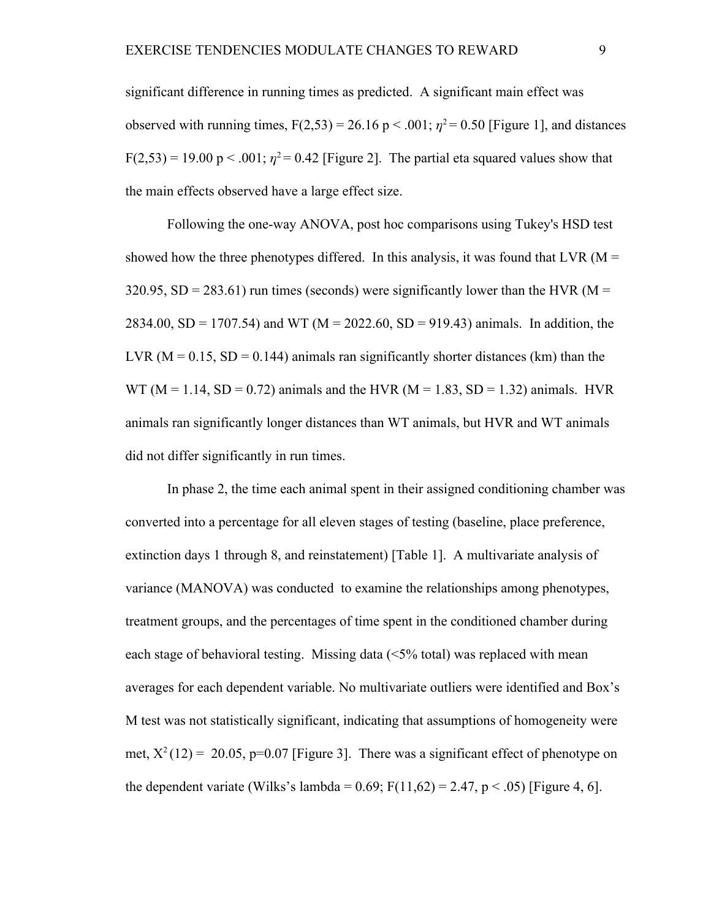significant difference in running times as predicted. A significant main effect was observed with running times,  $F(2,53) = 26.16 \text{ p} < .001$ ;  $\eta^2 = 0.50$  [Figure 1], and distances  $F(2,53) = 19.00 \text{ p} < .001$ ;  $\eta^2 = 0.42$  [Figure 2]. The partial eta squared values show that the main effects observed have a large effect size.

Following the one-way ANOVA, post hoc comparisons using Tukey's HSD test showed how the three phenotypes differed. In this analysis, it was found that LVR ( $M =$ 320.95,  $SD = 283.61$ ) run times (seconds) were significantly lower than the HVR (M = 2834.00, SD = 1707.54) and WT (M = 2022.60, SD = 919.43) animals. In addition, the LVR ( $M = 0.15$ ,  $SD = 0.144$ ) animals ran significantly shorter distances (km) than the WT ( $M = 1.14$ ,  $SD = 0.72$ ) animals and the HVR ( $M = 1.83$ ,  $SD = 1.32$ ) animals. HVR animals ran significantly longer distances than WT animals, but HVR and WT animals did not differ significantly in run times.

In phase 2, the time each animal spent in their assigned conditioning chamber was converted into a percentage for all eleven stages of testing (baseline, place preference, extinction days 1 through 8, and reinstatement) [Table 1]. A multivariate analysis of variance (MANOVA) was conducted to examine the relationships among phenotypes, treatment groups, and the percentages of time spent in the conditioned chamber during each stage of behavioral testing. Missing data (<5% total) was replaced with mean averages for each dependent variable. No multivariate outliers were identified and Box's M test was not statistically significant, indicating that assumptions of homogeneity were met,  $X^2(12) = 20.05$ , p=0.07 [Figure 3]. There was a significant effect of phenotype on the dependent variate (Wilks's lambda =  $0.69$ ; F(11,62) = 2.47, p < .05) [Figure 4, 6].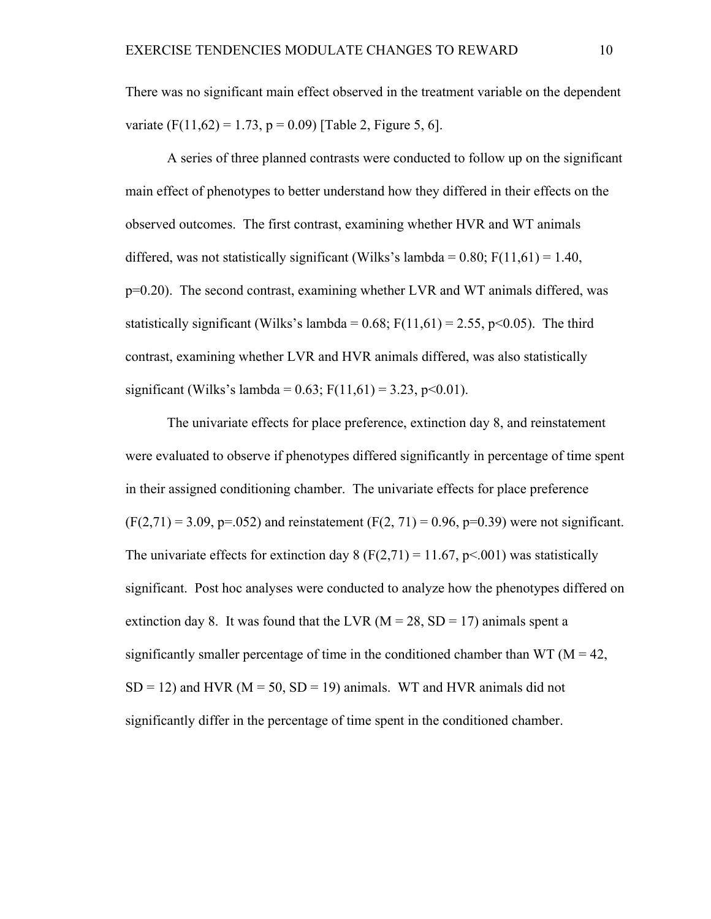There was no significant main effect observed in the treatment variable on the dependent variate (F(11,62) = 1.73, p = 0.09) [Table 2, Figure 5, 6].

A series of three planned contrasts were conducted to follow up on the significant main effect of phenotypes to better understand how they differed in their effects on the observed outcomes. The first contrast, examining whether HVR and WT animals differed, was not statistically significant (Wilks's lambda =  $0.80$ ; F(11,61) = 1.40, p=0.20). The second contrast, examining whether LVR and WT animals differed, was statistically significant (Wilks's lambda =  $0.68$ ; F(11,61) = 2.55, p<0.05). The third contrast, examining whether LVR and HVR animals differed, was also statistically significant (Wilks's lambda =  $0.63$ ; F(11,61) = 3.23, p<0.01).

The univariate effects for place preference, extinction day 8, and reinstatement were evaluated to observe if phenotypes differed significantly in percentage of time spent in their assigned conditioning chamber. The univariate effects for place preference  $(F(2,71) = 3.09, p = .052)$  and reinstatement  $(F(2, 71) = 0.96, p = 0.39)$  were not significant. The univariate effects for extinction day 8 ( $F(2,71) = 11.67$ ,  $p \le 0.001$ ) was statistically significant. Post hoc analyses were conducted to analyze how the phenotypes differed on extinction day 8. It was found that the LVR ( $M = 28$ , SD = 17) animals spent a significantly smaller percentage of time in the conditioned chamber than  $WT (M = 42, N)$  $SD = 12$ ) and HVR ( $M = 50$ ,  $SD = 19$ ) animals. WT and HVR animals did not significantly differ in the percentage of time spent in the conditioned chamber.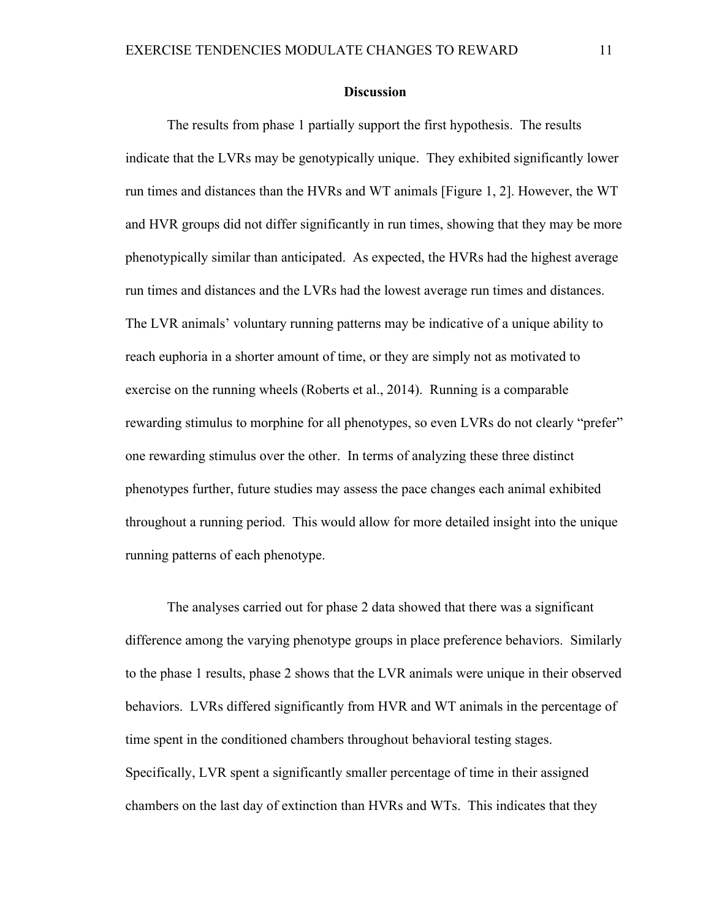#### **Discussion**

The results from phase 1 partially support the first hypothesis. The results indicate that the LVRs may be genotypically unique. They exhibited significantly lower run times and distances than the HVRs and WT animals [Figure 1, 2]. However, the WT and HVR groups did not differ significantly in run times, showing that they may be more phenotypically similar than anticipated. As expected, the HVRs had the highest average run times and distances and the LVRs had the lowest average run times and distances. The LVR animals' voluntary running patterns may be indicative of a unique ability to reach euphoria in a shorter amount of time, or they are simply not as motivated to exercise on the running wheels (Roberts et al., 2014). Running is a comparable rewarding stimulus to morphine for all phenotypes, so even LVRs do not clearly "prefer" one rewarding stimulus over the other. In terms of analyzing these three distinct phenotypes further, future studies may assess the pace changes each animal exhibited throughout a running period. This would allow for more detailed insight into the unique running patterns of each phenotype.

The analyses carried out for phase 2 data showed that there was a significant difference among the varying phenotype groups in place preference behaviors. Similarly to the phase 1 results, phase 2 shows that the LVR animals were unique in their observed behaviors. LVRs differed significantly from HVR and WT animals in the percentage of time spent in the conditioned chambers throughout behavioral testing stages. Specifically, LVR spent a significantly smaller percentage of time in their assigned chambers on the last day of extinction than HVRs and WTs. This indicates that they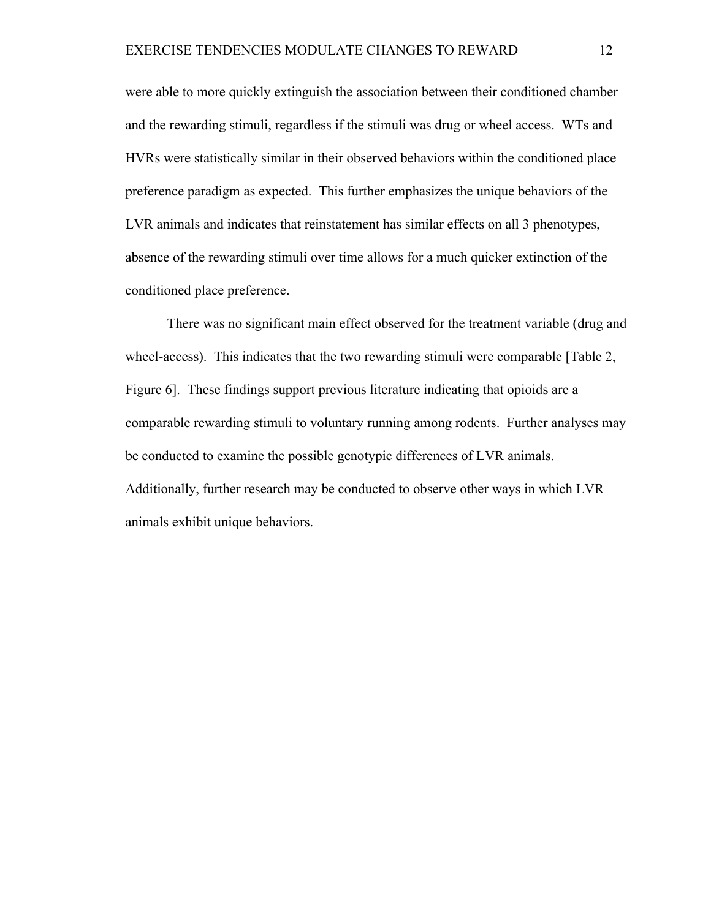were able to more quickly extinguish the association between their conditioned chamber and the rewarding stimuli, regardless if the stimuli was drug or wheel access. WTs and HVRs were statistically similar in their observed behaviors within the conditioned place preference paradigm as expected. This further emphasizes the unique behaviors of the LVR animals and indicates that reinstatement has similar effects on all 3 phenotypes, absence of the rewarding stimuli over time allows for a much quicker extinction of the conditioned place preference.

There was no significant main effect observed for the treatment variable (drug and wheel-access). This indicates that the two rewarding stimuli were comparable [Table 2, Figure 6]. These findings support previous literature indicating that opioids are a comparable rewarding stimuli to voluntary running among rodents. Further analyses may be conducted to examine the possible genotypic differences of LVR animals. Additionally, further research may be conducted to observe other ways in which LVR animals exhibit unique behaviors.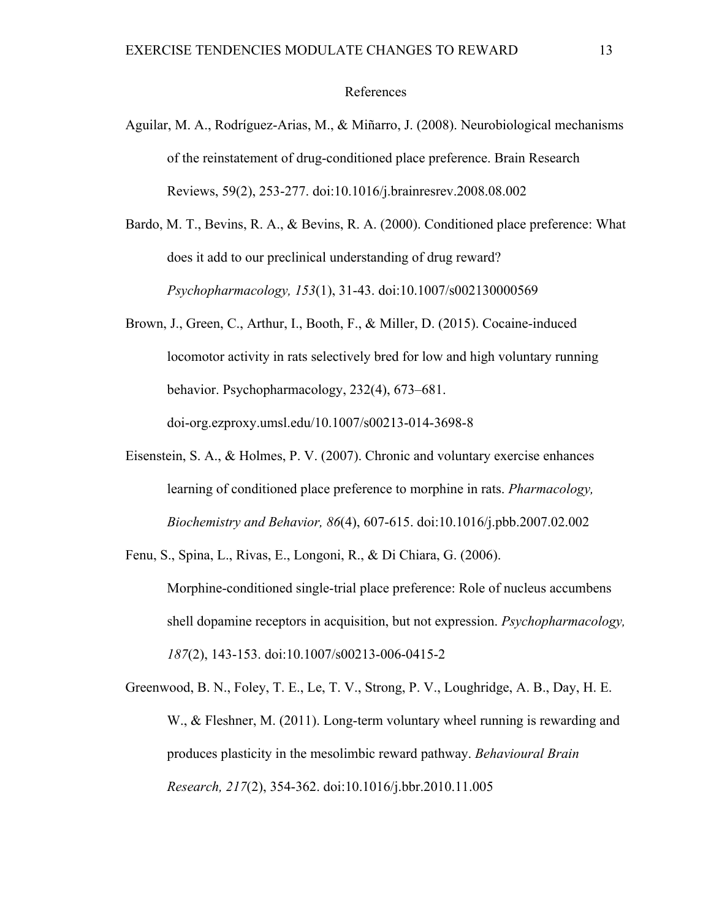### References

- Aguilar, M. A., Rodríguez-Arias, M., & Miñarro, J. (2008). Neurobiological mechanisms of the reinstatement of drug-conditioned place preference. Brain Research Reviews, 59(2), 253-277. doi:10.1016/j.brainresrev.2008.08.002
- Bardo, M. T., Bevins, R. A., & Bevins, R. A. (2000). Conditioned place preference: What does it add to our preclinical understanding of drug reward? *Psychopharmacology, 153*(1), 31-43. doi:10.1007/s002130000569
- Brown, J., Green, C., Arthur, I., Booth, F., & Miller, D. (2015). Cocaine-induced locomotor activity in rats selectively bred for low and high voluntary running behavior. Psychopharmacology, 232(4), 673–681. doi-org.ezproxy.umsl.edu/10.1007/s00213-014-3698-8
- Eisenstein, S. A., & Holmes, P. V. (2007). Chronic and voluntary exercise enhances learning of conditioned place preference to morphine in rats. *Pharmacology, Biochemistry and Behavior, 86*(4), 607-615. doi:10.1016/j.pbb.2007.02.002

Fenu, S., Spina, L., Rivas, E., Longoni, R., & Di Chiara, G. (2006).

Morphine-conditioned single-trial place preference: Role of nucleus accumbens shell dopamine receptors in acquisition, but not expression. *Psychopharmacology, 187*(2), 143-153. doi:10.1007/s00213-006-0415-2

Greenwood, B. N., Foley, T. E., Le, T. V., Strong, P. V., Loughridge, A. B., Day, H. E. W., & Fleshner, M. (2011). Long-term voluntary wheel running is rewarding and produces plasticity in the mesolimbic reward pathway. *Behavioural Brain Research, 217*(2), 354-362. doi:10.1016/j.bbr.2010.11.005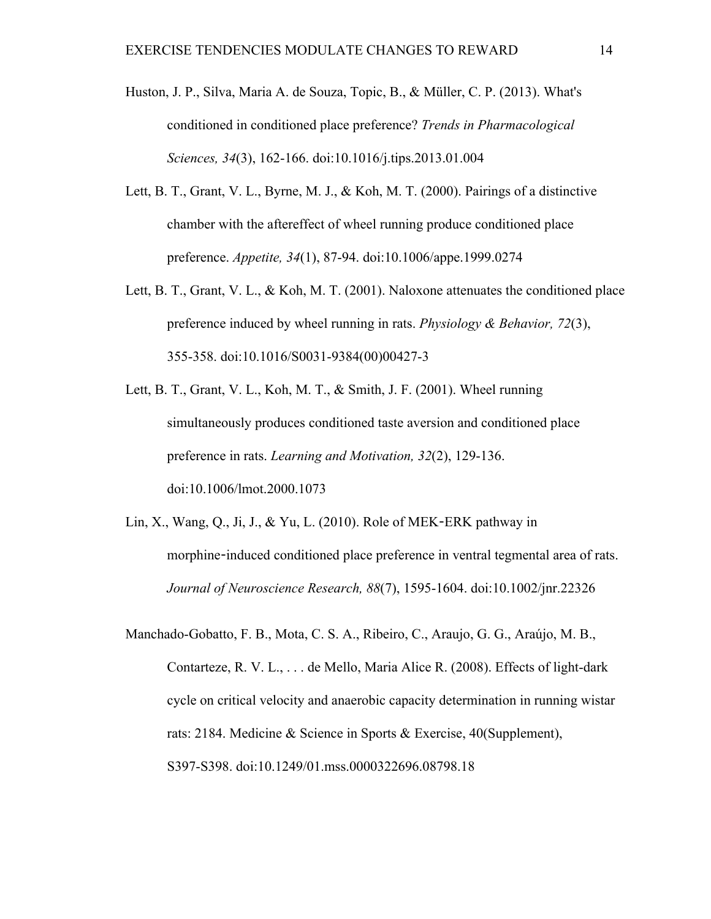- Huston, J. P., Silva, Maria A. de Souza, Topic, B., & Müller, C. P. (2013). What's conditioned in conditioned place preference? *Trends in Pharmacological Sciences, 34*(3), 162-166. doi:10.1016/j.tips.2013.01.004
- Lett, B. T., Grant, V. L., Byrne, M. J., & Koh, M. T. (2000). Pairings of a distinctive chamber with the aftereffect of wheel running produce conditioned place preference. *Appetite, 34*(1), 87-94. doi:10.1006/appe.1999.0274
- Lett, B. T., Grant, V. L., & Koh, M. T. (2001). Naloxone attenuates the conditioned place preference induced by wheel running in rats. *Physiology & Behavior, 72*(3), 355-358. doi:10.1016/S0031-9384(00)00427-3
- Lett, B. T., Grant, V. L., Koh, M. T., & Smith, J. F. (2001). Wheel running simultaneously produces conditioned taste aversion and conditioned place preference in rats. *Learning and Motivation, 32*(2), 129-136. doi:10.1006/lmot.2000.1073
- Lin, X., Wang, Q., Ji, J., & Yu, L. (2010). Role of MEK-ERK pathway in morphine-induced conditioned place preference in ventral tegmental area of rats. *Journal of Neuroscience Research, 88*(7), 1595-1604. doi:10.1002/jnr.22326
- Manchado-Gobatto, F. B., Mota, C. S. A., Ribeiro, C., Araujo, G. G., Araújo, M. B., Contarteze, R. V. L., . . . de Mello, Maria Alice R. (2008). Effects of light-dark cycle on critical velocity and anaerobic capacity determination in running wistar rats: 2184. Medicine & Science in Sports & Exercise, 40(Supplement), S397-S398. doi:10.1249/01.mss.0000322696.08798.18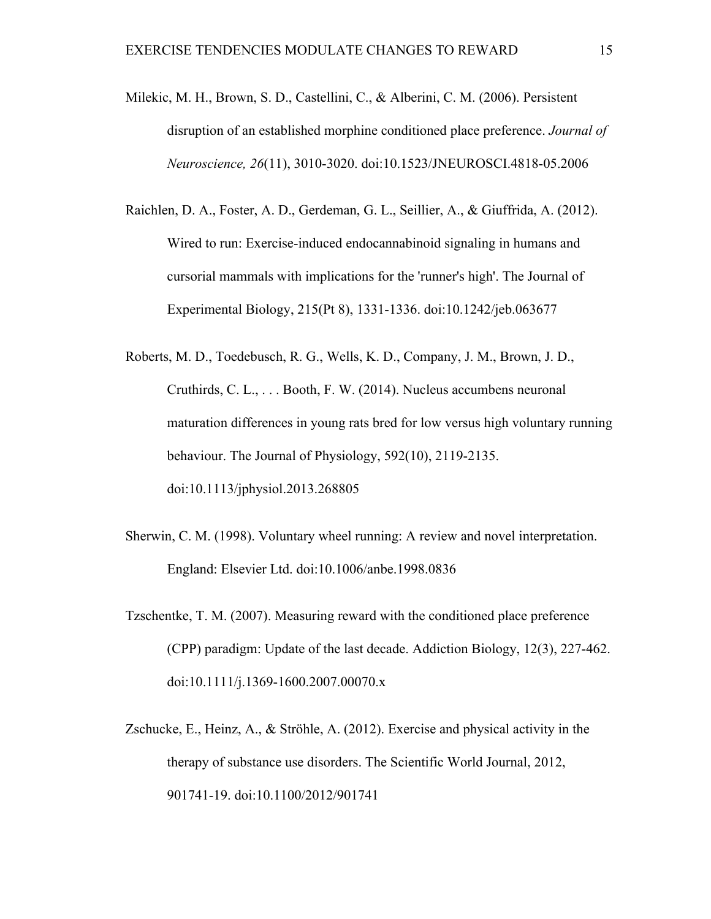- Milekic, M. H., Brown, S. D., Castellini, C., & Alberini, C. M. (2006). Persistent disruption of an established morphine conditioned place preference. *Journal of Neuroscience, 26*(11), 3010-3020. doi:10.1523/JNEUROSCI.4818-05.2006
- Raichlen, D. A., Foster, A. D., Gerdeman, G. L., Seillier, A., & Giuffrida, A. (2012). Wired to run: Exercise-induced endocannabinoid signaling in humans and cursorial mammals with implications for the 'runner's high'. The Journal of Experimental Biology, 215(Pt 8), 1331-1336. doi:10.1242/jeb.063677
- Roberts, M. D., Toedebusch, R. G., Wells, K. D., Company, J. M., Brown, J. D., Cruthirds, C. L., . . . Booth, F. W. (2014). Nucleus accumbens neuronal maturation differences in young rats bred for low versus high voluntary running behaviour. The Journal of Physiology, 592(10), 2119-2135. doi:10.1113/jphysiol.2013.268805
- Sherwin, C. M. (1998). Voluntary wheel running: A review and novel interpretation. England: Elsevier Ltd. doi:10.1006/anbe.1998.0836
- Tzschentke, T. M. (2007). Measuring reward with the conditioned place preference (CPP) paradigm: Update of the last decade. Addiction Biology, 12(3), 227-462. doi:10.1111/j.1369-1600.2007.00070.x
- Zschucke, E., Heinz, A., & Ströhle, A. (2012). Exercise and physical activity in the therapy of substance use disorders. The Scientific World Journal, 2012, 901741-19. doi:10.1100/2012/901741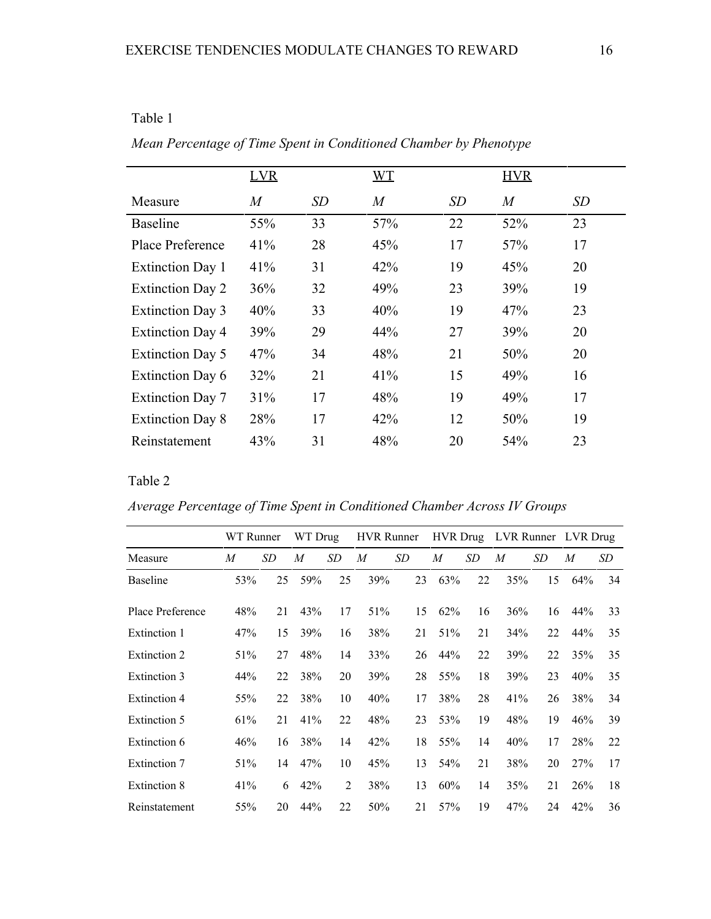| l`able |  |
|--------|--|
|        |  |

|                         | <b>LVR</b>     |    | <b>WT</b>        |    | <b>HVR</b>     |    |
|-------------------------|----------------|----|------------------|----|----------------|----|
| Measure                 | $\overline{M}$ | SD | $\boldsymbol{M}$ | SD | $\overline{M}$ | SD |
| <b>Baseline</b>         | 55%            | 33 | 57%              | 22 | 52%            | 23 |
| Place Preference        | 41%            | 28 | 45%              | 17 | 57%            | 17 |
| <b>Extinction Day 1</b> | 41%            | 31 | 42%              | 19 | 45%            | 20 |
| <b>Extinction Day 2</b> | 36%            | 32 | 49%              | 23 | 39%            | 19 |
| <b>Extinction Day 3</b> | 40%            | 33 | 40%              | 19 | 47%            | 23 |
| <b>Extinction Day 4</b> | 39%            | 29 | 44%              | 27 | 39%            | 20 |
| <b>Extinction Day 5</b> | 47%            | 34 | 48%              | 21 | 50%            | 20 |
| <b>Extinction Day 6</b> | 32%            | 21 | 41%              | 15 | 49%            | 16 |
| <b>Extinction Day 7</b> | 31%            | 17 | 48%              | 19 | 49%            | 17 |
| <b>Extinction Day 8</b> | 28%            | 17 | 42%              | 12 | 50%            | 19 |
| Reinstatement           | 43%            | 31 | 48%              | 20 | 54%            | 23 |

*Mean Percentage of Time Spent in Conditioned Chamber by Phenotype*

Table 2

*Average Percentage of Time Spent in Conditioned Chamber Across IV Groups*

|                     | WT Runner |    | WT Drug |                | <b>HVR</b> Runner |    | <b>HVR</b> Drug |    | LVR Runner |    | LVR Drug |    |
|---------------------|-----------|----|---------|----------------|-------------------|----|-----------------|----|------------|----|----------|----|
| Measure             | M         | SD | M       | SD             | M                 | SD | $\overline{M}$  | SD | M          | SD | M        | SD |
| <b>Baseline</b>     | 53%       | 25 | 59%     | 25             | 39%               | 23 | 63%             | 22 | 35%        | 15 | 64%      | 34 |
| Place Preference    | 48%       | 21 | 43%     | 17             | 51%               | 15 | 62%             | 16 | 36%        | 16 | 44%      | 33 |
| Extinction 1        | 47%       | 15 | 39%     | 16             | 38%               | 21 | 51%             | 21 | 34%        | 22 | 44%      | 35 |
| Extinction 2        | 51%       | 27 | 48%     | 14             | 33%               | 26 | 44%             | 22 | 39%        | 22 | 35%      | 35 |
| Extinction 3        | 44%       | 22 | 38%     | 20             | 39%               | 28 | 55%             | 18 | 39%        | 23 | 40%      | 35 |
| <b>Extinction 4</b> | 55%       | 22 | 38%     | 10             | 40%               | 17 | 38%             | 28 | 41%        | 26 | 38%      | 34 |
| Extinction 5        | 61%       | 21 | 41%     | 22             | 48%               | 23 | 53%             | 19 | 48%        | 19 | 46%      | 39 |
| Extinction 6        | 46%       | 16 | 38%     | 14             | 42%               | 18 | 55%             | 14 | 40%        | 17 | 28%      | 22 |
| Extinction 7        | 51%       | 14 | 47%     | 10             | 45%               | 13 | 54%             | 21 | 38%        | 20 | 27%      | 17 |
| Extinction 8        | 41%       | 6  | 42%     | $\overline{2}$ | 38%               | 13 | 60%             | 14 | 35%        | 21 | 26%      | 18 |
| Reinstatement       | 55%       | 20 | 44%     | 22             | 50%               | 21 | 57%             | 19 | 47%        | 24 | 42%      | 36 |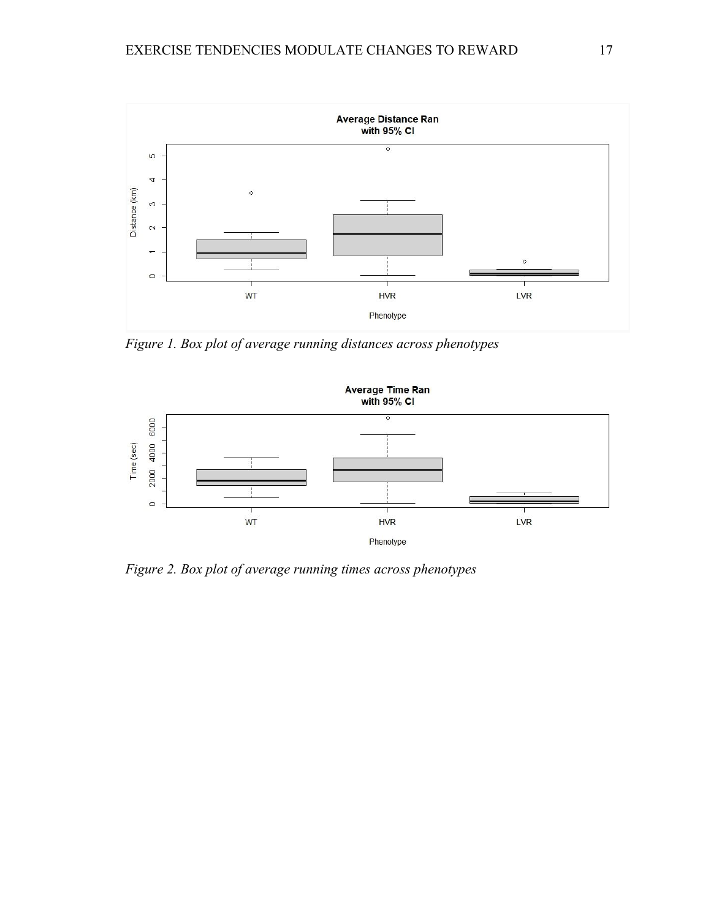

*Figure 1. Box plot of average running distances across phenotypes*



*Figure 2. Box plot of average running times across phenotypes*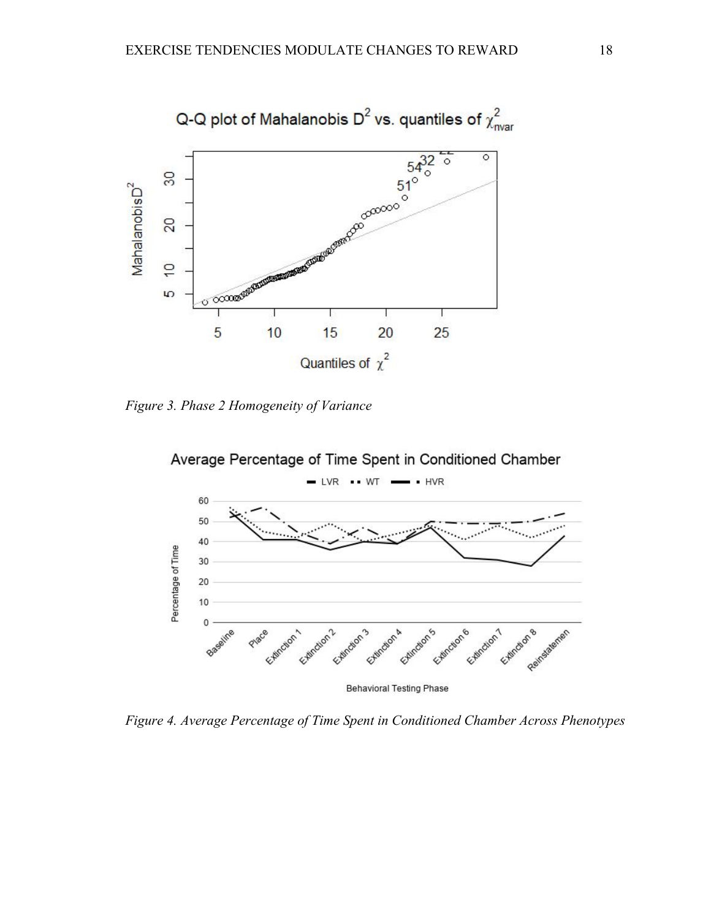

*Figure 3. Phase 2 Homogeneity of Variance*



*Figure 4. Average Percentage of Time Spent in Conditioned Chamber Across Phenotypes*